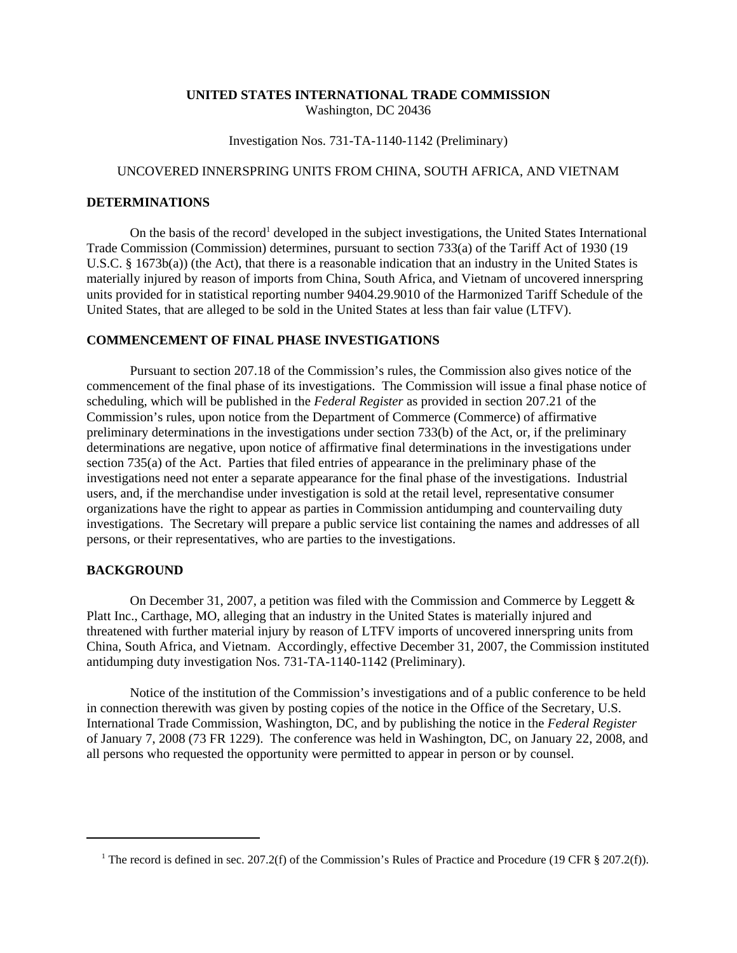### **UNITED STATES INTERNATIONAL TRADE COMMISSION** Washington, DC 20436

Investigation Nos. 731-TA-1140-1142 (Preliminary)

# UNCOVERED INNERSPRING UNITS FROM CHINA, SOUTH AFRICA, AND VIETNAM

#### **DETERMINATIONS**

On the basis of the record<sup>1</sup> developed in the subject investigations, the United States International Trade Commission (Commission) determines, pursuant to section 733(a) of the Tariff Act of 1930 (19 U.S.C. § 1673b(a)) (the Act), that there is a reasonable indication that an industry in the United States is materially injured by reason of imports from China, South Africa, and Vietnam of uncovered innerspring units provided for in statistical reporting number 9404.29.9010 of the Harmonized Tariff Schedule of the United States, that are alleged to be sold in the United States at less than fair value (LTFV).

#### **COMMENCEMENT OF FINAL PHASE INVESTIGATIONS**

Pursuant to section 207.18 of the Commission's rules, the Commission also gives notice of the commencement of the final phase of its investigations. The Commission will issue a final phase notice of scheduling, which will be published in the *Federal Register* as provided in section 207.21 of the Commission's rules, upon notice from the Department of Commerce (Commerce) of affirmative preliminary determinations in the investigations under section 733(b) of the Act, or, if the preliminary determinations are negative, upon notice of affirmative final determinations in the investigations under section 735(a) of the Act. Parties that filed entries of appearance in the preliminary phase of the investigations need not enter a separate appearance for the final phase of the investigations. Industrial users, and, if the merchandise under investigation is sold at the retail level, representative consumer organizations have the right to appear as parties in Commission antidumping and countervailing duty investigations. The Secretary will prepare a public service list containing the names and addresses of all persons, or their representatives, who are parties to the investigations.

## **BACKGROUND**

On December 31, 2007, a petition was filed with the Commission and Commerce by Leggett & Platt Inc., Carthage, MO, alleging that an industry in the United States is materially injured and threatened with further material injury by reason of LTFV imports of uncovered innerspring units from China, South Africa, and Vietnam. Accordingly, effective December 31, 2007, the Commission instituted antidumping duty investigation Nos. 731-TA-1140-1142 (Preliminary).

Notice of the institution of the Commission's investigations and of a public conference to be held in connection therewith was given by posting copies of the notice in the Office of the Secretary, U.S. International Trade Commission, Washington, DC, and by publishing the notice in the *Federal Register* of January 7, 2008 (73 FR 1229). The conference was held in Washington, DC, on January 22, 2008, and all persons who requested the opportunity were permitted to appear in person or by counsel.

<sup>&</sup>lt;sup>1</sup> The record is defined in sec. 207.2(f) of the Commission's Rules of Practice and Procedure (19 CFR § 207.2(f)).